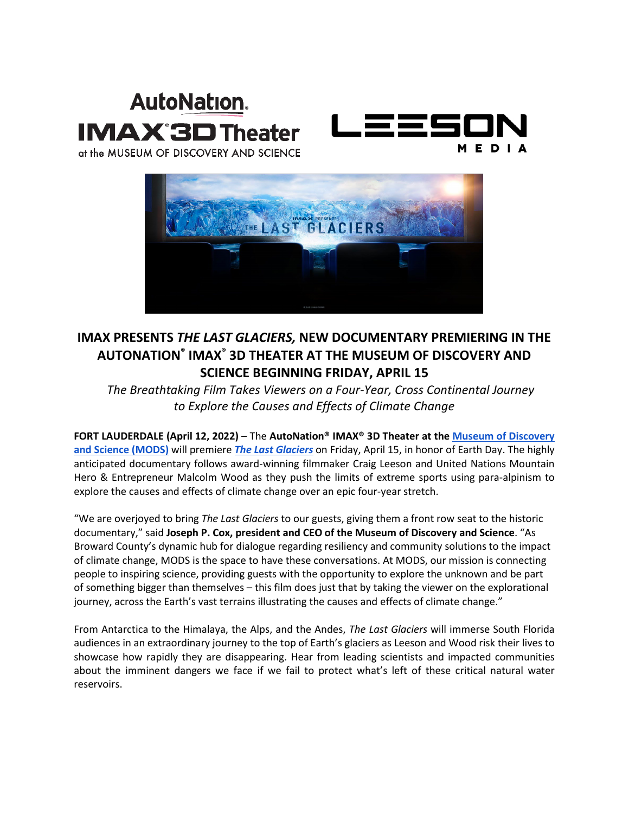# **AutoNation. IMAX'3D Theater**



at the MUSEUM OF DISCOVERY AND SCIENCE



# **IMAX PRESENTS** *THE LAST GLACIERS,* **NEW DOCUMENTARY PREMIERING IN THE AUTONATION® IMAX® 3D THEATER AT THE MUSEUM OF DISCOVERY AND SCIENCE BEGINNING FRIDAY, APRIL 15**

*The Breathtaking Film Takes Viewers on a Four-Year, Cross Continental Journey to Explore the Causes and Effects of Climate Change*

**FORT LAUDERDALE (April 12, 2022)** – The **AutoNation® IMAX® 3D Theater at the [Museum of Discovery](http://www.mods.org/)  [and Science \(MODS\)](http://www.mods.org/)** will premiere *[The Last Glaciers](https://www.imax.com/news/the-last-glaciers)* on Friday, April 15, in honor of Earth Day. The highly anticipated documentary follows award-winning filmmaker Craig Leeson and United Nations Mountain Hero & Entrepreneur Malcolm Wood as they push the limits of extreme sports using para-alpinism to explore the causes and effects of climate change over an epic four-year stretch.

"We are overjoyed to bring *The Last Glaciers* to our guests, giving them a front row seat to the historic documentary," said **Joseph P. Cox, president and CEO of the Museum of Discovery and Science**. "As Broward County's dynamic hub for dialogue regarding resiliency and community solutions to the impact of climate change, MODS is the space to have these conversations. At MODS, our mission is connecting people to inspiring science, providing guests with the opportunity to explore the unknown and be part of something bigger than themselves – this film does just that by taking the viewer on the explorational journey, across the Earth's vast terrains illustrating the causes and effects of climate change."

From Antarctica to the Himalaya, the Alps, and the Andes, *The Last Glaciers* will immerse South Florida audiences in an extraordinary journey to the top of Earth's glaciers as Leeson and Wood risk their lives to showcase how rapidly they are disappearing. Hear from leading scientists and impacted communities about the imminent dangers we face if we fail to protect what's left of these critical natural water reservoirs.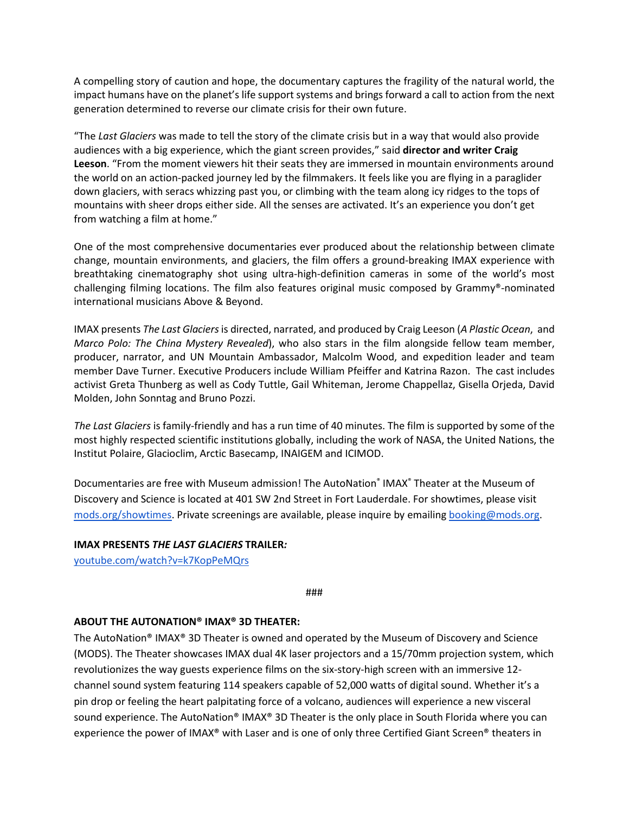A compelling story of caution and hope, the documentary captures the fragility of the natural world, the impact humans have on the planet's life support systems and brings forward a call to action from the next generation determined to reverse our climate crisis for their own future.

"The *Last Glaciers* was made to tell the story of the climate crisis but in a way that would also provide audiences with a big experience, which the giant screen provides," said **director and writer Craig Leeson**. "From the moment viewers hit their seats they are immersed in mountain environments around the world on an action-packed journey led by the filmmakers. It feels like you are flying in a paraglider down glaciers, with seracs whizzing past you, or climbing with the team along icy ridges to the tops of mountains with sheer drops either side. All the senses are activated. It's an experience you don't get from watching a film at home."

One of the most comprehensive documentaries ever produced about the relationship between climate change, mountain environments, and glaciers, the film offers a ground-breaking IMAX experience with breathtaking cinematography shot using ultra-high-definition cameras in some of the world's most challenging filming locations. The film also features original music composed by Grammy®-nominated international musicians Above & Beyond.

IMAX presents *The Last Glaciers*is directed, narrated, and produced by Craig Leeson (*A Plastic Ocean*, and *Marco Polo: The China Mystery Revealed*), who also stars in the film alongside fellow team member, producer, narrator, and UN Mountain Ambassador, Malcolm Wood, and expedition leader and team member Dave Turner. Executive Producers include William Pfeiffer and Katrina Razon. The cast includes activist Greta Thunberg as well as Cody Tuttle, Gail Whiteman, Jerome Chappellaz, Gisella Orjeda, David Molden, John Sonntag and Bruno Pozzi.

*The Last Glaciers* is family-friendly and has a run time of 40 minutes. The film is supported by some of the most highly respected scientific institutions globally, including the work of NASA, the United Nations, the Institut Polaire, Glacioclim, Arctic Basecamp, INAIGEM and ICIMOD.

Documentaries are free with Museum admission! The AutoNation<sup>®</sup> IMAX<sup>®</sup> Theater at the Museum of Discovery and Science is located at 401 SW 2nd Street in Fort Lauderdale. For showtimes, please visit mods.org/showtimes. Private screenings are available, please inquire by emailing booking@mods.org.

# **IMAX PRESENTS** *THE LAST GLACIERS* **TRAILER***:*

[youtube.com/watch?v=k7KopPeMQrs](https://www.youtube.com/watch?v=k7KopPeMQrs)

###

# **ABOUT THE AUTONATION® IMAX® 3D THEATER:**

The AutoNation® IMAX® 3D Theater is owned and operated by the Museum of Discovery and Science (MODS). The Theater showcases IMAX dual 4K laser projectors and a 15/70mm projection system, which revolutionizes the way guests experience films on the six-story-high screen with an immersive 12 channel sound system featuring 114 speakers capable of 52,000 watts of digital sound. Whether it's a pin drop or feeling the heart palpitating force of a volcano, audiences will experience a new visceral sound experience. The AutoNation® IMAX® 3D Theater is the only place in South Florida where you can experience the power of IMAX® with Laser and is one of only three Certified Giant Screen® theaters in